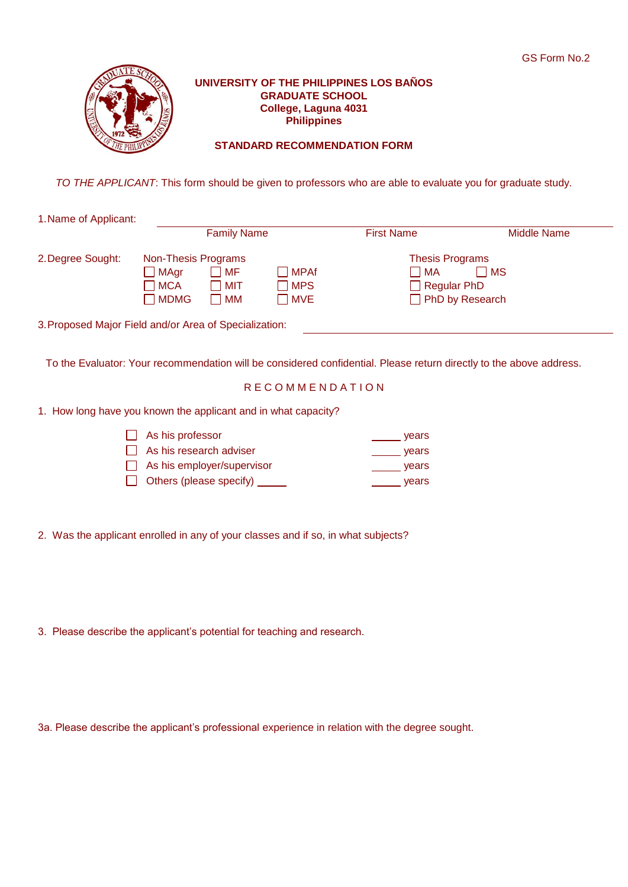

## **UNIVERSITY OF THE PHILIPPINES LOS BAÑOS GRADUATE SCHOOL College, Laguna 4031 Philippines**

## **STANDARD RECOMMENDATION FORM**

*TO THE APPLICANT*: This form should be given to professors who are able to evaluate you for graduate study.

|                   |                     |                           |              |                        | Middle Name |
|-------------------|---------------------|---------------------------|--------------|------------------------|-------------|
| 2. Degree Sought: | Non-Thesis Programs |                           |              | <b>Thesis Programs</b> |             |
|                   | $\Box$ MAgr         | <b>MF</b><br>$\mathsf{L}$ | $\Box$ MPAf  | $\Box$ MA              | $\sqcap$ MS |
|                   | $\Box$ MCA          | $\blacksquare$ MIT        | $\sqcap$ MPS | <b>Regular PhD</b>     |             |
|                   | $\Box$ MDMG         | $\Box$ MM                 | $\Box$ MVE   | PhD by Research        |             |

To the Evaluator: Your recommendation will be considered confidential. Please return directly to the above address.

## R E C O M M E N D A T I O N

1. How long have you known the applicant and in what capacity?

| $\Box$ As his professor             | years |
|-------------------------------------|-------|
| $\Box$ As his research adviser      | years |
| $\Box$ As his employer/supervisor   | years |
| □ Others (please specify) <u>□ </u> | years |

2. Was the applicant enrolled in any of your classes and if so, in what subjects?

3. Please describe the applicant's potential for teaching and research.

3a. Please describe the applicant's professional experience in relation with the degree sought.